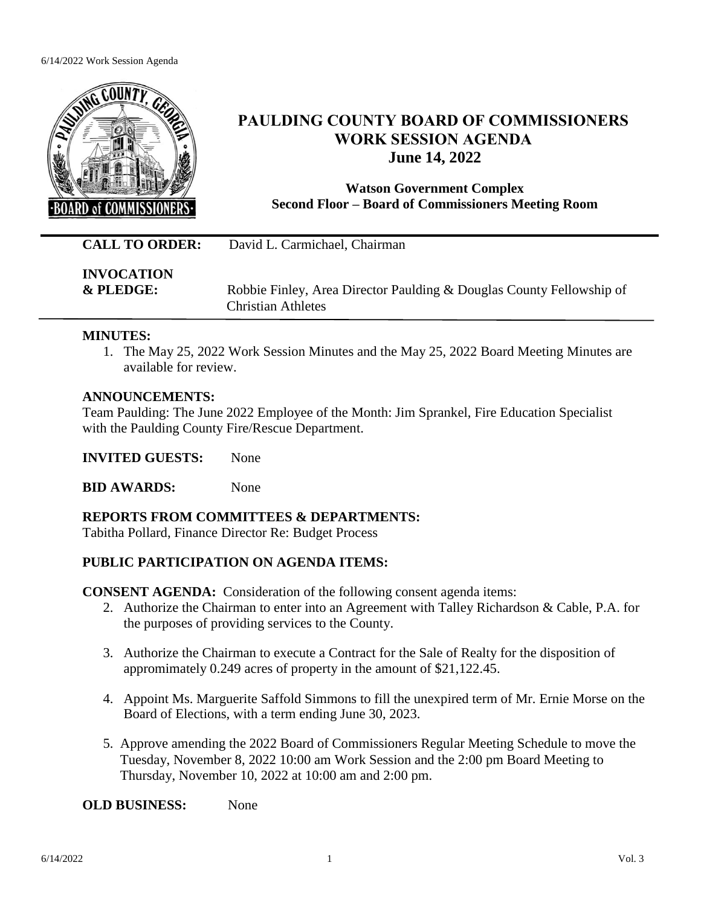#### 6/14/2022 Work Session Agenda



# **PAULDING COUNTY BOARD OF COMMISSIONERS WORK SESSION AGENDA June 14, 2022**

**Watson Government Complex Second Floor – Board of Commissioners Meeting Room**

**CALL TO ORDER:** David L. Carmichael, Chairman

**INVOCATION**

**& PLEDGE:** Robbie Finley, Area Director Paulding & Douglas County Fellowship of Christian Athletes

# **MINUTES:**

1. The May 25, 2022 Work Session Minutes and the May 25, 2022 Board Meeting Minutes are available for review.

# **ANNOUNCEMENTS:**

Team Paulding: The June 2022 Employee of the Month: Jim Sprankel, Fire Education Specialist with the Paulding County Fire/Rescue Department.

**INVITED GUESTS:** None

**BID AWARDS:** None

**REPORTS FROM COMMITTEES & DEPARTMENTS:**

Tabitha Pollard, Finance Director Re: Budget Process

# **PUBLIC PARTICIPATION ON AGENDA ITEMS:**

**CONSENT AGENDA:** Consideration of the following consent agenda items:

- 2. Authorize the Chairman to enter into an Agreement with Talley Richardson & Cable, P.A. for the purposes of providing services to the County.
- 3. Authorize the Chairman to execute a Contract for the Sale of Realty for the disposition of appromimately 0.249 acres of property in the amount of \$21,122.45.
- 4. Appoint Ms. Marguerite Saffold Simmons to fill the unexpired term of Mr. Ernie Morse on the Board of Elections, with a term ending June 30, 2023.
- 5. Approve amending the 2022 Board of Commissioners Regular Meeting Schedule to move the Tuesday, November 8, 2022 10:00 am Work Session and the 2:00 pm Board Meeting to Thursday, November 10, 2022 at 10:00 am and 2:00 pm.

**OLD BUSINESS:** None